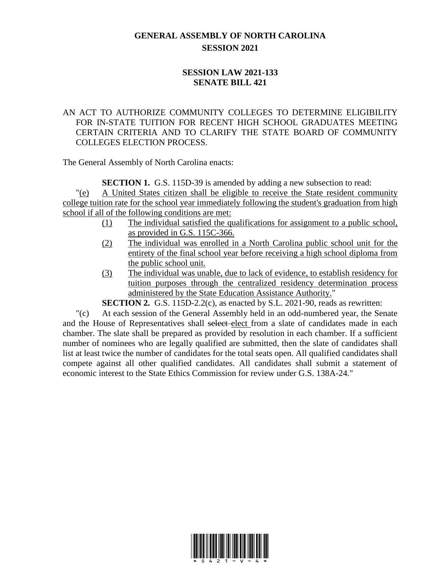## **GENERAL ASSEMBLY OF NORTH CAROLINA SESSION 2021**

## **SESSION LAW 2021-133 SENATE BILL 421**

## AN ACT TO AUTHORIZE COMMUNITY COLLEGES TO DETERMINE ELIGIBILITY FOR IN-STATE TUITION FOR RECENT HIGH SCHOOL GRADUATES MEETING CERTAIN CRITERIA AND TO CLARIFY THE STATE BOARD OF COMMUNITY COLLEGES ELECTION PROCESS.

The General Assembly of North Carolina enacts:

**SECTION 1.** G.S. 115D-39 is amended by adding a new subsection to read:

"(e) A United States citizen shall be eligible to receive the State resident community college tuition rate for the school year immediately following the student's graduation from high school if all of the following conditions are met:

- (1) The individual satisfied the qualifications for assignment to a public school, as provided in G.S. 115C-366.
- (2) The individual was enrolled in a North Carolina public school unit for the entirety of the final school year before receiving a high school diploma from the public school unit.
- (3) The individual was unable, due to lack of evidence, to establish residency for tuition purposes through the centralized residency determination process administered by the State Education Assistance Authority."

**SECTION 2.** G.S. 115D-2.2(c), as enacted by S.L. 2021-90, reads as rewritten:

"(c) At each session of the General Assembly held in an odd-numbered year, the Senate and the House of Representatives shall select elect from a slate of candidates made in each chamber. The slate shall be prepared as provided by resolution in each chamber. If a sufficient number of nominees who are legally qualified are submitted, then the slate of candidates shall list at least twice the number of candidates for the total seats open. All qualified candidates shall compete against all other qualified candidates. All candidates shall submit a statement of economic interest to the State Ethics Commission for review under G.S. 138A-24."